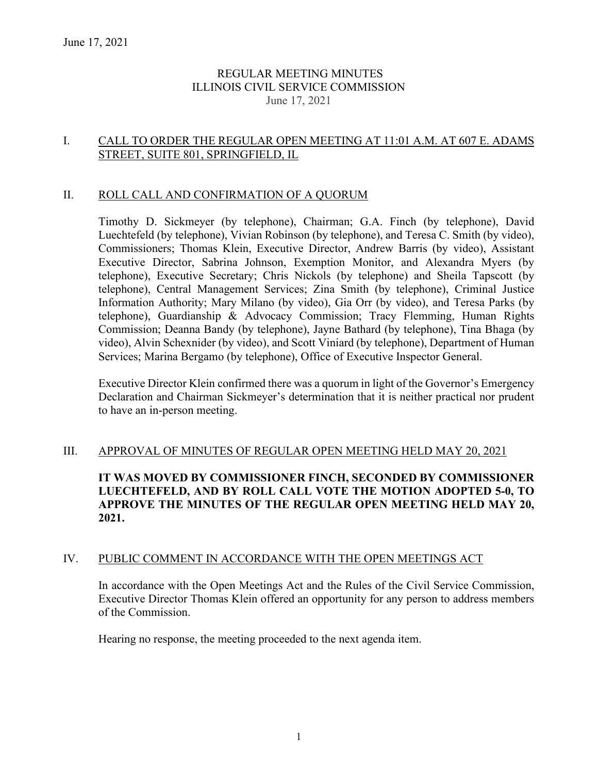### REGULAR MEETING MINUTES ILLINOIS CIVIL SERVICE COMMISSION June 17, 2021

### I. CALL TO ORDER THE REGULAR OPEN MEETING AT 11:01 A.M. AT 607 E. ADAMS STREET, SUITE 801, SPRINGFIELD, IL

### II. ROLL CALL AND CONFIRMATION OF A QUORUM

Timothy D. Sickmeyer (by telephone), Chairman; G.A. Finch (by telephone), David Luechtefeld (by telephone), Vivian Robinson (by telephone), and Teresa C. Smith (by video), Commissioners; Thomas Klein, Executive Director, Andrew Barris (by video), Assistant Executive Director, Sabrina Johnson, Exemption Monitor, and Alexandra Myers (by telephone), Executive Secretary; Chris Nickols (by telephone) and Sheila Tapscott (by telephone), Central Management Services; Zina Smith (by telephone), Criminal Justice Information Authority; Mary Milano (by video), Gia Orr (by video), and Teresa Parks (by telephone), Guardianship & Advocacy Commission; Tracy Flemming, Human Rights Commission; Deanna Bandy (by telephone), Jayne Bathard (by telephone), Tina Bhaga (by video), Alvin Schexnider (by video), and Scott Viniard (by telephone), Department of Human Services; Marina Bergamo (by telephone), Office of Executive Inspector General.

Executive Director Klein confirmed there was a quorum in light of the Governor's Emergency Declaration and Chairman Sickmeyer's determination that it is neither practical nor prudent to have an in-person meeting.

### III. APPROVAL OF MINUTES OF REGULAR OPEN MEETING HELD MAY 20, 2021

**IT WAS MOVED BY COMMISSIONER FINCH, SECONDED BY COMMISSIONER LUECHTEFELD, AND BY ROLL CALL VOTE THE MOTION ADOPTED 5-0, TO APPROVE THE MINUTES OF THE REGULAR OPEN MEETING HELD MAY 20, 2021.**

### IV. PUBLIC COMMENT IN ACCORDANCE WITH THE OPEN MEETINGS ACT

In accordance with the Open Meetings Act and the Rules of the Civil Service Commission, Executive Director Thomas Klein offered an opportunity for any person to address members of the Commission.

Hearing no response, the meeting proceeded to the next agenda item.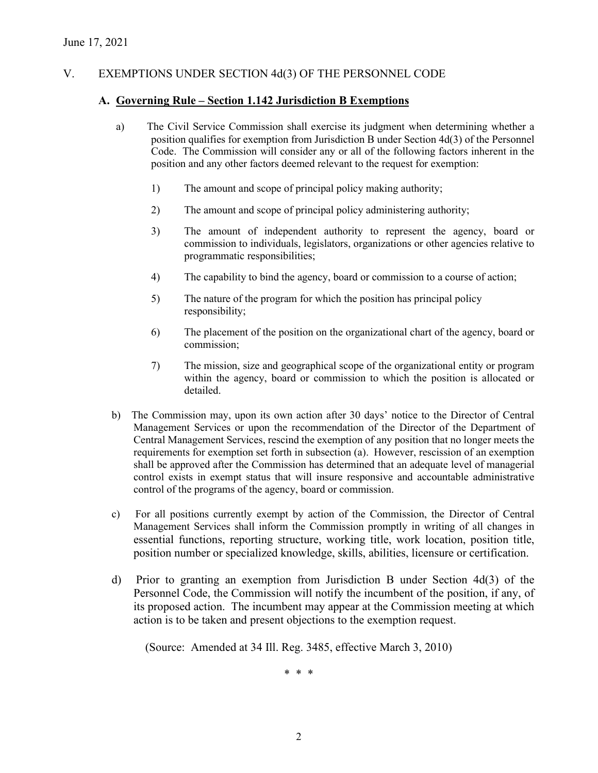# V. EXEMPTIONS UNDER SECTION 4d(3) OF THE PERSONNEL CODE

### **A. Governing Rule – Section 1.142 Jurisdiction B Exemptions**

- a) The Civil Service Commission shall exercise its judgment when determining whether a position qualifies for exemption from Jurisdiction B under Section 4d(3) of the Personnel Code. The Commission will consider any or all of the following factors inherent in the position and any other factors deemed relevant to the request for exemption:
	- 1) The amount and scope of principal policy making authority;
	- 2) The amount and scope of principal policy administering authority;
	- 3) The amount of independent authority to represent the agency, board or commission to individuals, legislators, organizations or other agencies relative to programmatic responsibilities;
	- 4) The capability to bind the agency, board or commission to a course of action;
	- 5) The nature of the program for which the position has principal policy responsibility;
	- 6) The placement of the position on the organizational chart of the agency, board or commission;
	- 7) The mission, size and geographical scope of the organizational entity or program within the agency, board or commission to which the position is allocated or detailed.
- b) The Commission may, upon its own action after 30 days' notice to the Director of Central Management Services or upon the recommendation of the Director of the Department of Central Management Services, rescind the exemption of any position that no longer meets the requirements for exemption set forth in subsection (a). However, rescission of an exemption shall be approved after the Commission has determined that an adequate level of managerial control exists in exempt status that will insure responsive and accountable administrative control of the programs of the agency, board or commission.
- c) For all positions currently exempt by action of the Commission, the Director of Central Management Services shall inform the Commission promptly in writing of all changes in essential functions, reporting structure, working title, work location, position title, position number or specialized knowledge, skills, abilities, licensure or certification.
- d) Prior to granting an exemption from Jurisdiction B under Section 4d(3) of the Personnel Code, the Commission will notify the incumbent of the position, if any, of its proposed action. The incumbent may appear at the Commission meeting at which action is to be taken and present objections to the exemption request.

(Source: Amended at 34 Ill. Reg. 3485, effective March 3, 2010)

\* \* \*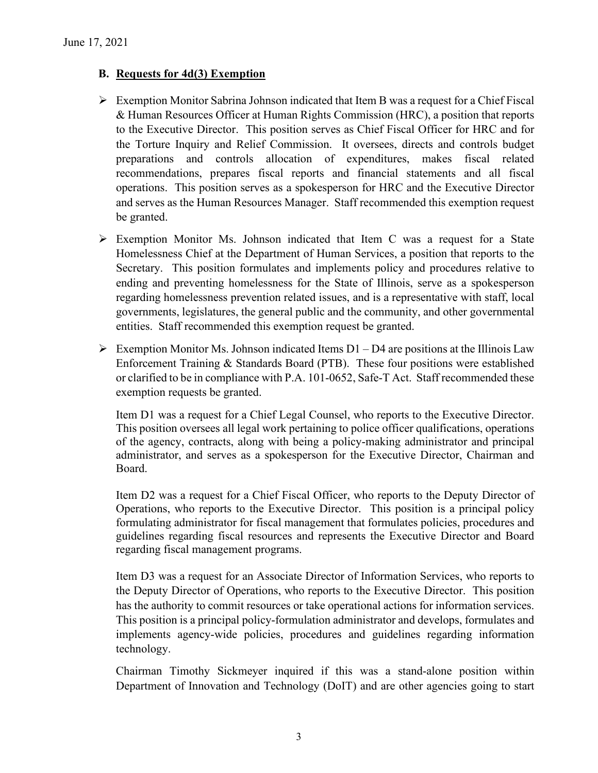# **B. Requests for 4d(3) Exemption**

- $\triangleright$  Exemption Monitor Sabrina Johnson indicated that Item B was a request for a Chief Fiscal & Human Resources Officer at Human Rights Commission (HRC), a position that reports to the Executive Director. This position serves as Chief Fiscal Officer for HRC and for the Torture Inquiry and Relief Commission. It oversees, directs and controls budget preparations and controls allocation of expenditures, makes fiscal related recommendations, prepares fiscal reports and financial statements and all fiscal operations. This position serves as a spokesperson for HRC and the Executive Director and serves as the Human Resources Manager. Staff recommended this exemption request be granted.
- $\triangleright$  Exemption Monitor Ms. Johnson indicated that Item C was a request for a State Homelessness Chief at the Department of Human Services, a position that reports to the Secretary. This position formulates and implements policy and procedures relative to ending and preventing homelessness for the State of Illinois, serve as a spokesperson regarding homelessness prevention related issues, and is a representative with staff, local governments, legislatures, the general public and the community, and other governmental entities. Staff recommended this exemption request be granted.
- Exemption Monitor Ms. Johnson indicated Items  $D1 D4$  are positions at the Illinois Law Enforcement Training & Standards Board (PTB). These four positions were established or clarified to be in compliance with P.A. 101-0652, Safe-T Act. Staff recommended these exemption requests be granted.

Item D1 was a request for a Chief Legal Counsel, who reports to the Executive Director. This position oversees all legal work pertaining to police officer qualifications, operations of the agency, contracts, along with being a policy-making administrator and principal administrator, and serves as a spokesperson for the Executive Director, Chairman and Board.

Item D2 was a request for a Chief Fiscal Officer, who reports to the Deputy Director of Operations, who reports to the Executive Director. This position is a principal policy formulating administrator for fiscal management that formulates policies, procedures and guidelines regarding fiscal resources and represents the Executive Director and Board regarding fiscal management programs.

Item D3 was a request for an Associate Director of Information Services, who reports to the Deputy Director of Operations, who reports to the Executive Director. This position has the authority to commit resources or take operational actions for information services. This position is a principal policy-formulation administrator and develops, formulates and implements agency-wide policies, procedures and guidelines regarding information technology.

Chairman Timothy Sickmeyer inquired if this was a stand-alone position within Department of Innovation and Technology (DoIT) and are other agencies going to start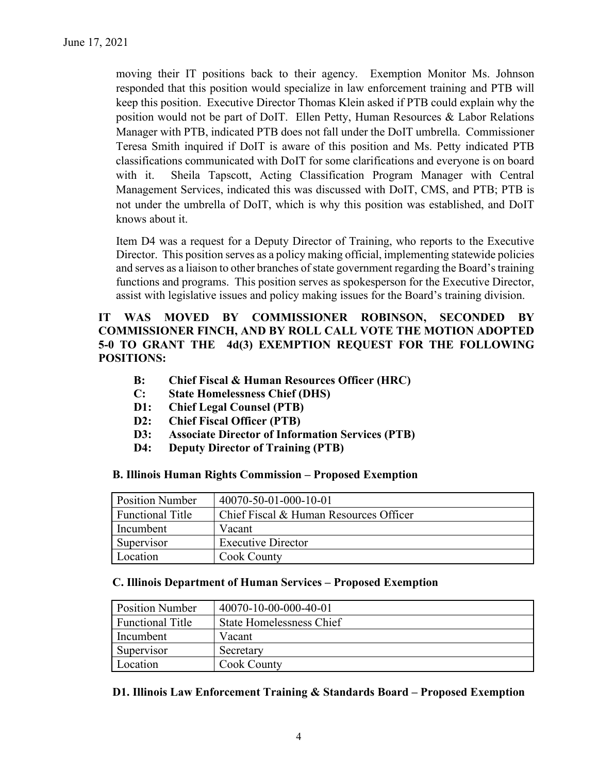moving their IT positions back to their agency. Exemption Monitor Ms. Johnson responded that this position would specialize in law enforcement training and PTB will keep this position. Executive Director Thomas Klein asked if PTB could explain why the position would not be part of DoIT. Ellen Petty, Human Resources & Labor Relations Manager with PTB, indicated PTB does not fall under the DoIT umbrella. Commissioner Teresa Smith inquired if DoIT is aware of this position and Ms. Petty indicated PTB classifications communicated with DoIT for some clarifications and everyone is on board with it. Sheila Tapscott, Acting Classification Program Manager with Central Management Services, indicated this was discussed with DoIT, CMS, and PTB; PTB is not under the umbrella of DoIT, which is why this position was established, and DoIT knows about it.

Item D4 was a request for a Deputy Director of Training, who reports to the Executive Director. This position serves as a policy making official, implementing statewide policies and serves as a liaison to other branches of state government regarding the Board's training functions and programs. This position serves as spokesperson for the Executive Director, assist with legislative issues and policy making issues for the Board's training division.

# **IT WAS MOVED BY COMMISSIONER ROBINSON, SECONDED BY COMMISSIONER FINCH, AND BY ROLL CALL VOTE THE MOTION ADOPTED 5-0 TO GRANT THE 4d(3) EXEMPTION REQUEST FOR THE FOLLOWING POSITIONS:**

- **B: Chief Fiscal & Human Resources Officer (HRC)**
- **C: State Homelessness Chief (DHS)**
- **D1: Chief Legal Counsel (PTB)**
- **D2: Chief Fiscal Officer (PTB)**
- **D3: Associate Director of Information Services (PTB)**
- **D4: Deputy Director of Training (PTB)**

# **B. Illinois Human Rights Commission – Proposed Exemption**

| <b>Position Number</b>  | 40070-50-01-000-10-01                  |
|-------------------------|----------------------------------------|
| <b>Functional Title</b> | Chief Fiscal & Human Resources Officer |
| Incumbent               | Vacant                                 |
| Supervisor              | <b>Executive Director</b>              |
| Location                | <b>Cook County</b>                     |

### **C. Illinois Department of Human Services – Proposed Exemption**

| <b>Position Number</b>  | 40070-10-00-000-40-01           |  |
|-------------------------|---------------------------------|--|
| <b>Functional Title</b> | <b>State Homelessness Chief</b> |  |
| Incumbent               | Vacant                          |  |
| Supervisor              | Secretary                       |  |
| Location                | <b>Cook County</b>              |  |

**D1. Illinois Law Enforcement Training & Standards Board – Proposed Exemption**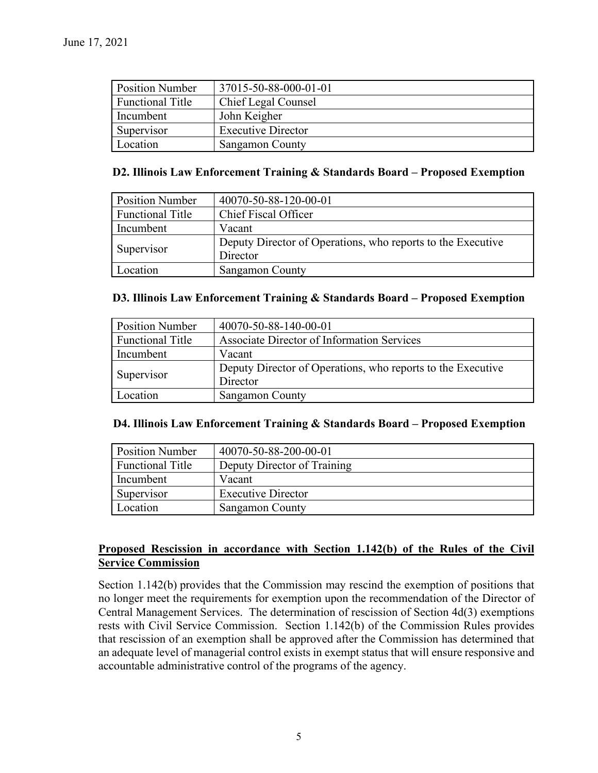| <b>Position Number</b>  | 37015-50-88-000-01-01     |
|-------------------------|---------------------------|
| <b>Functional Title</b> | Chief Legal Counsel       |
| Incumbent               | John Keigher              |
| Supervisor              | <b>Executive Director</b> |
| Location                | <b>Sangamon County</b>    |

### **D2. Illinois Law Enforcement Training & Standards Board – Proposed Exemption**

| <b>Position Number</b>  | 40070-50-88-120-00-01                                                   |
|-------------------------|-------------------------------------------------------------------------|
| <b>Functional Title</b> | <b>Chief Fiscal Officer</b>                                             |
| Incumbent<br>Vacant     |                                                                         |
| Supervisor              | Deputy Director of Operations, who reports to the Executive<br>Director |
| Location                | <b>Sangamon County</b>                                                  |

### **D3. Illinois Law Enforcement Training & Standards Board – Proposed Exemption**

| <b>Position Number</b>  | 40070-50-88-140-00-01                                       |  |  |  |
|-------------------------|-------------------------------------------------------------|--|--|--|
| <b>Functional Title</b> | <b>Associate Director of Information Services</b>           |  |  |  |
| Incumbent               | Vacant                                                      |  |  |  |
|                         | Deputy Director of Operations, who reports to the Executive |  |  |  |
| Supervisor              | Director                                                    |  |  |  |
| Location                | <b>Sangamon County</b>                                      |  |  |  |

### **D4. Illinois Law Enforcement Training & Standards Board – Proposed Exemption**

| <b>Position Number</b>  | 40070-50-88-200-00-01       |
|-------------------------|-----------------------------|
| <b>Functional Title</b> | Deputy Director of Training |
| Incumbent               | Vacant                      |
| Supervisor              | <b>Executive Director</b>   |
| Location                | <b>Sangamon County</b>      |

# **Proposed Rescission in accordance with Section 1.142(b) of the Rules of the Civil Service Commission**

Section 1.142(b) provides that the Commission may rescind the exemption of positions that no longer meet the requirements for exemption upon the recommendation of the Director of Central Management Services. The determination of rescission of Section 4d(3) exemptions rests with Civil Service Commission. Section 1.142(b) of the Commission Rules provides that rescission of an exemption shall be approved after the Commission has determined that an adequate level of managerial control exists in exempt status that will ensure responsive and accountable administrative control of the programs of the agency.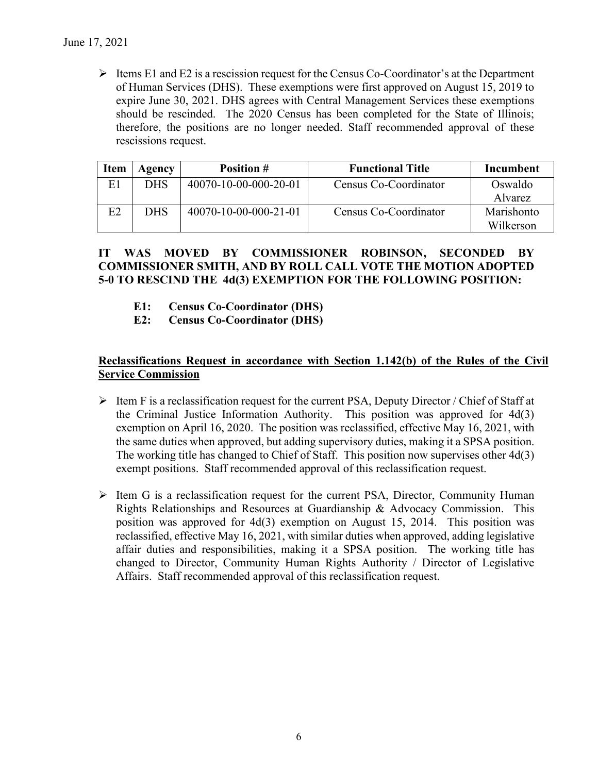$\triangleright$  Items E1 and E2 is a rescission request for the Census Co-Coordinator's at the Department of Human Services (DHS). These exemptions were first approved on August 15, 2019 to expire June 30, 2021. DHS agrees with Central Management Services these exemptions should be rescinded. The 2020 Census has been completed for the State of Illinois; therefore, the positions are no longer needed. Staff recommended approval of these rescissions request.

| <b>Item</b>    | Agency | <b>Position #</b>     | <b>Functional Title</b> | Incumbent  |
|----------------|--------|-----------------------|-------------------------|------------|
| E1             | DHS.   | 40070-10-00-000-20-01 | Census Co-Coordinator   | Oswaldo    |
|                |        |                       |                         | Alvarez    |
| E <sub>2</sub> | DHS    | 40070-10-00-000-21-01 | Census Co-Coordinator   | Marishonto |
|                |        |                       |                         | Wilkerson  |

### **IT WAS MOVED BY COMMISSIONER ROBINSON, SECONDED BY COMMISSIONER SMITH, AND BY ROLL CALL VOTE THE MOTION ADOPTED 5-0 TO RESCIND THE 4d(3) EXEMPTION FOR THE FOLLOWING POSITION:**

- **E1: Census Co-Coordinator (DHS)**
- **E2: Census Co-Coordinator (DHS)**

# **Reclassifications Request in accordance with Section 1.142(b) of the Rules of the Civil Service Commission**

- $\triangleright$  Item F is a reclassification request for the current PSA, Deputy Director / Chief of Staff at the Criminal Justice Information Authority. This position was approved for 4d(3) exemption on April 16, 2020. The position was reclassified, effective May 16, 2021, with the same duties when approved, but adding supervisory duties, making it a SPSA position. The working title has changed to Chief of Staff. This position now supervises other 4d(3) exempt positions. Staff recommended approval of this reclassification request.
- $\triangleright$  Item G is a reclassification request for the current PSA, Director, Community Human Rights Relationships and Resources at Guardianship & Advocacy Commission. This position was approved for 4d(3) exemption on August 15, 2014. This position was reclassified, effective May 16, 2021, with similar duties when approved, adding legislative affair duties and responsibilities, making it a SPSA position. The working title has changed to Director, Community Human Rights Authority / Director of Legislative Affairs. Staff recommended approval of this reclassification request.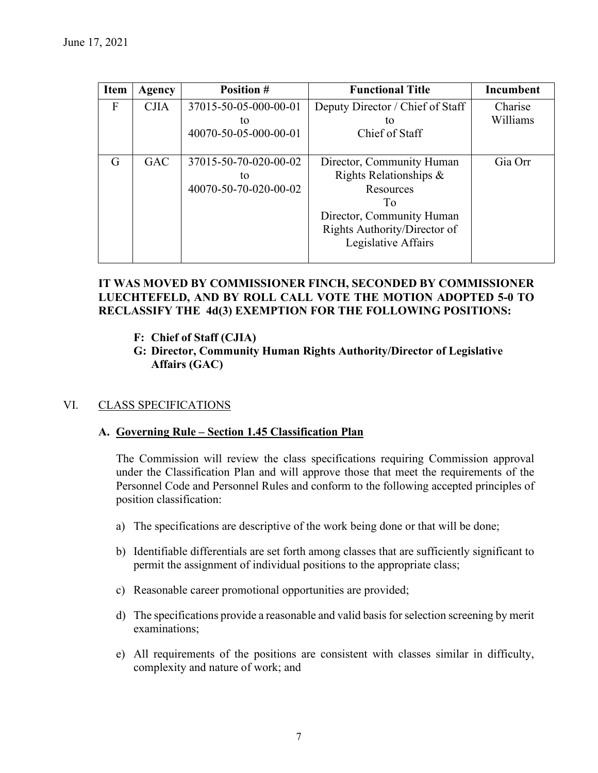| <b>Item</b> | Agency      | <b>Position #</b>     | <b>Functional Title</b>          | Incumbent |
|-------------|-------------|-----------------------|----------------------------------|-----------|
| F           | <b>CJIA</b> | 37015-50-05-000-00-01 | Deputy Director / Chief of Staff | Charise   |
|             |             | to                    | to                               | Williams  |
|             |             | 40070-50-05-000-00-01 | Chief of Staff                   |           |
|             |             |                       |                                  |           |
| G           | <b>GAC</b>  | 37015-50-70-020-00-02 | Director, Community Human        | Gia Orr   |
|             |             | to                    | Rights Relationships &           |           |
|             |             | 40070-50-70-020-00-02 | Resources                        |           |
|             |             |                       | Tо                               |           |
|             |             |                       | Director, Community Human        |           |
|             |             |                       | Rights Authority/Director of     |           |
|             |             |                       | Legislative Affairs              |           |
|             |             |                       |                                  |           |

### **IT WAS MOVED BY COMMISSIONER FINCH, SECONDED BY COMMISSIONER LUECHTEFELD, AND BY ROLL CALL VOTE THE MOTION ADOPTED 5-0 TO RECLASSIFY THE 4d(3) EXEMPTION FOR THE FOLLOWING POSITIONS:**

- **F: Chief of Staff (CJIA)**
- **G: Director, Community Human Rights Authority/Director of Legislative Affairs (GAC)**

# VI. CLASS SPECIFICATIONS

### **A. Governing Rule – Section 1.45 Classification Plan**

The Commission will review the class specifications requiring Commission approval under the Classification Plan and will approve those that meet the requirements of the Personnel Code and Personnel Rules and conform to the following accepted principles of position classification:

- a) The specifications are descriptive of the work being done or that will be done;
- b) Identifiable differentials are set forth among classes that are sufficiently significant to permit the assignment of individual positions to the appropriate class;
- c) Reasonable career promotional opportunities are provided;
- d) The specifications provide a reasonable and valid basis for selection screening by merit examinations;
- e) All requirements of the positions are consistent with classes similar in difficulty, complexity and nature of work; and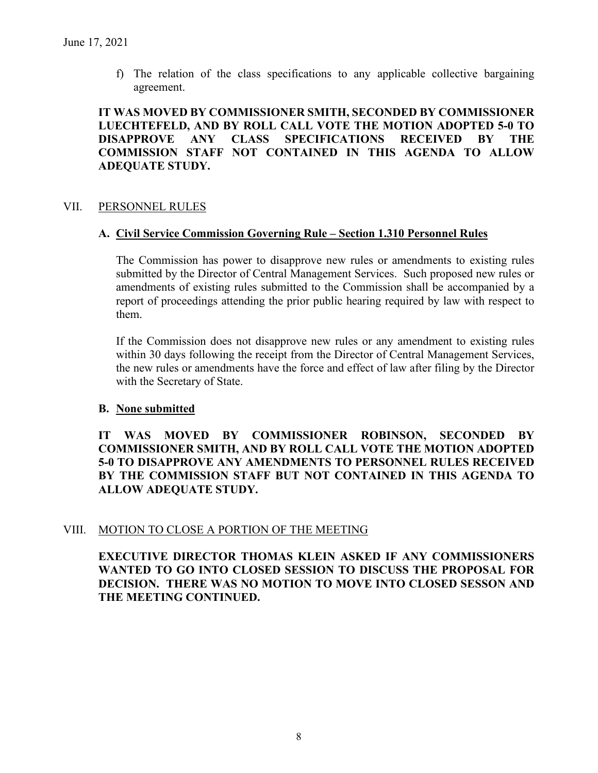f) The relation of the class specifications to any applicable collective bargaining agreement.

**IT WAS MOVED BY COMMISSIONER SMITH, SECONDED BY COMMISSIONER LUECHTEFELD, AND BY ROLL CALL VOTE THE MOTION ADOPTED 5-0 TO DISAPPROVE ANY CLASS SPECIFICATIONS RECEIVED BY THE COMMISSION STAFF NOT CONTAINED IN THIS AGENDA TO ALLOW ADEQUATE STUDY.** 

#### VII. PERSONNEL RULES

#### **A. Civil Service Commission Governing Rule – Section 1.310 Personnel Rules**

The Commission has power to disapprove new rules or amendments to existing rules submitted by the Director of Central Management Services. Such proposed new rules or amendments of existing rules submitted to the Commission shall be accompanied by a report of proceedings attending the prior public hearing required by law with respect to them.

If the Commission does not disapprove new rules or any amendment to existing rules within 30 days following the receipt from the Director of Central Management Services, the new rules or amendments have the force and effect of law after filing by the Director with the Secretary of State.

### **B. None submitted**

**IT WAS MOVED BY COMMISSIONER ROBINSON, SECONDED BY COMMISSIONER SMITH, AND BY ROLL CALL VOTE THE MOTION ADOPTED 5-0 TO DISAPPROVE ANY AMENDMENTS TO PERSONNEL RULES RECEIVED BY THE COMMISSION STAFF BUT NOT CONTAINED IN THIS AGENDA TO ALLOW ADEQUATE STUDY.** 

### VIII. MOTION TO CLOSE A PORTION OF THE MEETING

**EXECUTIVE DIRECTOR THOMAS KLEIN ASKED IF ANY COMMISSIONERS WANTED TO GO INTO CLOSED SESSION TO DISCUSS THE PROPOSAL FOR DECISION. THERE WAS NO MOTION TO MOVE INTO CLOSED SESSON AND THE MEETING CONTINUED.**